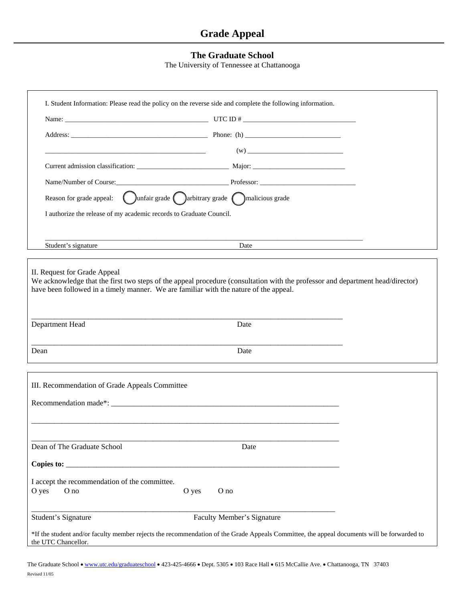## **Grade Appeal**

## **The Graduate School**

The University of Tennessee at Chattanooga

| I. Student Information: Please read the policy on the reverse side and complete the following information.                                                        |                            |  |
|-------------------------------------------------------------------------------------------------------------------------------------------------------------------|----------------------------|--|
|                                                                                                                                                                   |                            |  |
|                                                                                                                                                                   |                            |  |
| the control of the control of the control of the control of the control of the control of                                                                         |                            |  |
|                                                                                                                                                                   |                            |  |
| Name/Number of Course: Professor: Professor:                                                                                                                      |                            |  |
|                                                                                                                                                                   |                            |  |
| I authorize the release of my academic records to Graduate Council.                                                                                               |                            |  |
|                                                                                                                                                                   |                            |  |
| Student's signature                                                                                                                                               | Date                       |  |
|                                                                                                                                                                   |                            |  |
| II. Request for Grade Appeal<br>We acknowledge that the first two steps of the appeal procedure (consultation with the professor and department head/director)    |                            |  |
| have been followed in a timely manner. We are familiar with the nature of the appeal.                                                                             |                            |  |
|                                                                                                                                                                   |                            |  |
| Department Head                                                                                                                                                   | Date                       |  |
|                                                                                                                                                                   |                            |  |
| Dean                                                                                                                                                              | Date                       |  |
|                                                                                                                                                                   |                            |  |
| III. Recommendation of Grade Appeals Committee                                                                                                                    |                            |  |
|                                                                                                                                                                   |                            |  |
|                                                                                                                                                                   |                            |  |
|                                                                                                                                                                   |                            |  |
| Dean of The Graduate School                                                                                                                                       | Date                       |  |
|                                                                                                                                                                   |                            |  |
| I accept the recommendation of the committee.                                                                                                                     |                            |  |
| O yes<br>O no<br>O yes                                                                                                                                            | O no                       |  |
|                                                                                                                                                                   |                            |  |
| Student's Signature                                                                                                                                               | Faculty Member's Signature |  |
| *If the student and/or faculty member rejects the recommendation of the Grade Appeals Committee, the appeal documents will be forwarded to<br>the UTC Chancellor. |                            |  |

The Graduate School • [www.utc.edu/graduateschool](http://www.utc.edu/graduateschool) • 423-425-4666 • Dept. 5305 • 103 Race Hall • 615 McCallie Ave. • Chattanooga, TN 37403 Revised 11/05